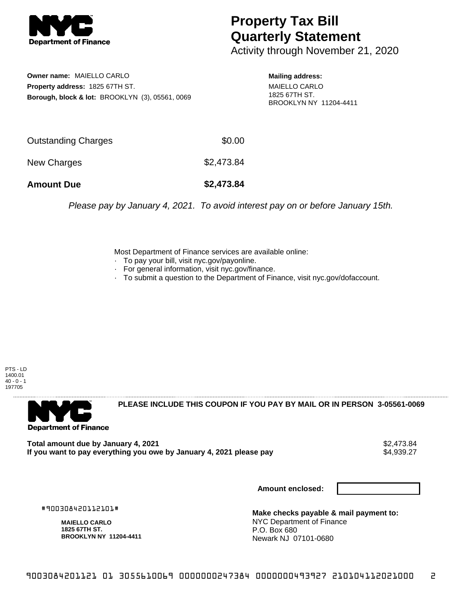

## **Property Tax Bill Quarterly Statement**

Activity through November 21, 2020

**Owner name:** MAIELLO CARLO **Property address:** 1825 67TH ST. **Borough, block & lot:** BROOKLYN (3), 05561, 0069

**Mailing address:** MAIELLO CARLO 1825 67TH ST. BROOKLYN NY 11204-4411

| <b>Amount Due</b>   | \$2,473.84 |
|---------------------|------------|
| New Charges         | \$2,473.84 |
| Outstanding Charges | \$0.00     |

Please pay by January 4, 2021. To avoid interest pay on or before January 15th.

Most Department of Finance services are available online:

- · To pay your bill, visit nyc.gov/payonline.
- For general information, visit nyc.gov/finance.
- · To submit a question to the Department of Finance, visit nyc.gov/dofaccount.





**PLEASE INCLUDE THIS COUPON IF YOU PAY BY MAIL OR IN PERSON 3-05561-0069** 

**Total amount due by January 4, 2021**<br>If you want to pay everything you owe by January 4, 2021 please pay **strategy of the Superior August** \$4,939.27 If you want to pay everything you owe by January 4, 2021 please pay

**Amount enclosed:**

#900308420112101#

**MAIELLO CARLO 1825 67TH ST. BROOKLYN NY 11204-4411**

**Make checks payable & mail payment to:** NYC Department of Finance P.O. Box 680 Newark NJ 07101-0680